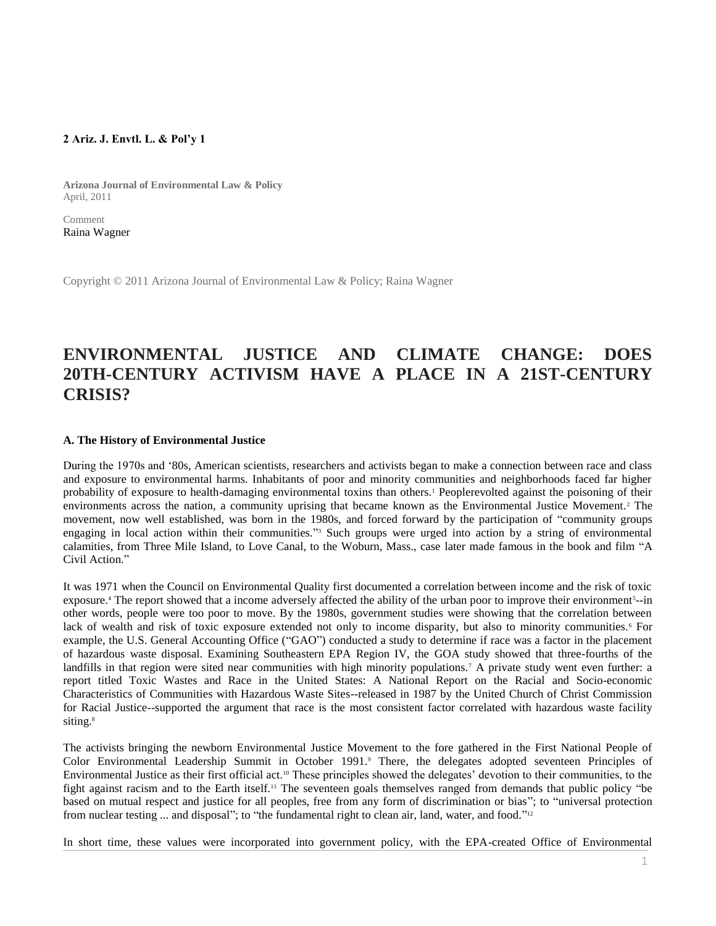# **2 Ariz. J. Envtl. L. & Pol'y 1**

**Arizona Journal of Environmental Law & Policy** April, 2011

Comment [Raina Wagner](http://www.westlaw.com/Link/Document/FullText?findType=h&pubNum=176284&cite=0468264701&originatingDoc=I1ed640e88c6911e498db8b09b4f043e0&refType=RQ&originationContext=document&vr=3.0&rs=cblt1.0&transitionType=DocumentItem&contextData=(sc.Search))

Copyright © 2011 Arizona Journal of Environmental Law & Policy; Raina Wagner

# **ENVIRONMENTAL JUSTICE AND CLIMATE CHANGE: DOES 20TH-CENTURY ACTIVISM HAVE A PLACE IN A 21ST-CENTURY CRISIS?**

### **A. The History of Environmental Justice**

During the 1970s and '80s, American scientists, researchers and activists began to make a connection between race and class and exposure to environmental harms. Inhabitants of poor and minority communities and neighborhoods faced far higher probability of exposure to health-damaging environmental toxins than others.<sup>1</sup> Peoplerevolted against the poisoning of their environments across the nation, a community uprising that became known as the Environmental Justice Movement.<sup>2</sup> The movement, now well established, was born in the 1980s, and forced forward by the participation of "community groups engaging in local action within their communities."<sup>3</sup> Such groups were urged into action by a string of environmental calamities, from Three Mile Island, to Love Canal, to the Woburn, Mass., case later made famous in the book and film "A Civil Action."

It was 1971 when the Council on Environmental Quality first documented a correlation between income and the risk of toxic exposure.<sup>4</sup> The report showed that a income adversely affected the ability of the urban poor to improve their environment<sup>5</sup>--in other words, people were too poor to move. By the 1980s, government studies were showing that the correlation between lack of wealth and risk of toxic exposure extended not only to income disparity, but also to minority communities.<sup>6</sup> For example, the U.S. General Accounting Office ("GAO") conducted a study to determine if race was a factor in the placement of hazardous waste disposal. Examining Southeastern EPA Region IV, the GOA study showed that three-fourths of the landfills in that region were sited near communities with high minority populations.<sup>7</sup> A private study went even further: a report titled Toxic Wastes and Race in the United States: A National Report on the Racial and Socio-economic Characteristics of Communities with Hazardous Waste Sites--released in 1987 by the United Church of Christ Commission for Racial Justice--supported the argument that race is the most consistent factor correlated with hazardous waste facility siting.<sup>8</sup>

The activists bringing the newborn Environmental Justice Movement to the fore gathered in the First National People of Color Environmental Leadership Summit in October 1991.<sup>9</sup> There, the delegates adopted seventeen Principles of Environmental Justice as their first official act.<sup>10</sup> These principles showed the delegates' devotion to their communities, to the fight against racism and to the Earth itself.<sup>11</sup> The seventeen goals themselves ranged from demands that public policy "be based on mutual respect and justice for all peoples, free from any form of discrimination or bias"; to "universal protection from nuclear testing ... and disposal"; to "the fundamental right to clean air, land, water, and food."<sup>12</sup>

In short time, these values were incorporated into government policy, with the EPA-created Office of Environmental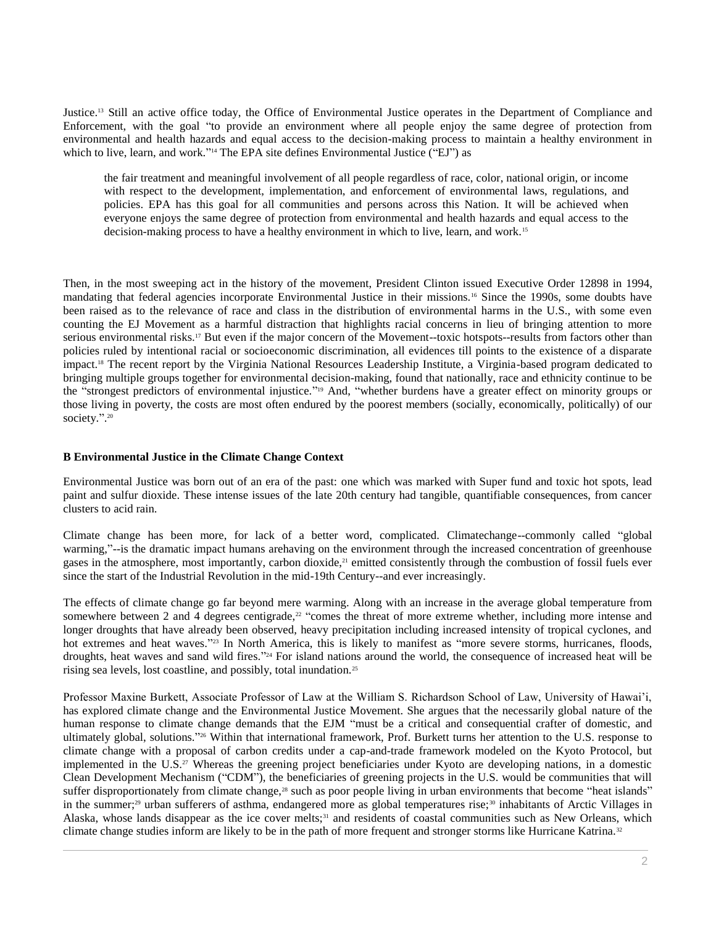Justice.<sup>13</sup> Still an active office today, the Office of Environmental Justice operates in the Department of Compliance and Enforcement, with the goal "to provide an environment where all people enjoy the same degree of protection from environmental and health hazards and equal access to the decision-making process to maintain a healthy environment in which to live, learn, and work." <sup>14</sup> The EPA site defines Environmental Justice ("EJ") as

the fair treatment and meaningful involvement of all people regardless of race, color, national origin, or income with respect to the development, implementation, and enforcement of environmental laws, regulations, and policies. EPA has this goal for all communities and persons across this Nation. It will be achieved when everyone enjoys the same degree of protection from environmental and health hazards and equal access to the decision-making process to have a healthy environment in which to live, learn, and work.<sup>15</sup>

Then, in the most sweeping act in the history of the movement, President Clinton issued [Executive Order 12898](http://www.westlaw.com/Link/Document/FullText?findType=Y&serNum=1994556908&pubNum=0001043&originatingDoc=I1ed640e88c6911e498db8b09b4f043e0&refType=CA&originationContext=document&vr=3.0&rs=cblt1.0&transitionType=DocumentItem&contextData=(sc.Search)) in 1994, mandating that federal agencies incorporate Environmental Justice in their missions.<sup>16</sup> Since the 1990s, some doubts have been raised as to the relevance of race and class in the distribution of environmental harms in the U.S., with some even counting the EJ Movement as a harmful distraction that highlights racial concerns in lieu of bringing attention to more serious environmental risks.<sup>17</sup> But even if the major concern of the Movement--toxic hotspots--results from factors other than policies ruled by intentional racial or socioeconomic discrimination, all evidences till points to the existence of a disparate impact.<sup>18</sup> The recent report by the Virginia National Resources Leadership Institute, a Virginia-based program dedicated to bringing multiple groups together for environmental decision-making, found that nationally, race and ethnicity continue to be the "strongest predictors of environmental injustice." <sup>19</sup> And, "whether burdens have a greater effect on minority groups or those living in poverty, the costs are most often endured by the poorest members (socially, economically, politically) of our society.". 20

# **B Environmental Justice in the Climate Change Context**

Environmental Justice was born out of an era of the past: one which was marked with Super fund and toxic hot spots, lead paint and sulfur dioxide. These intense issues of the late 20th century had tangible, quantifiable consequences, from cancer clusters to acid rain.

Climate change has been more, for lack of a better word, complicated. Climatechange--commonly called "global warming,"--is the dramatic impact humans arehaving on the environment through the increased concentration of greenhouse gases in the atmosphere, most importantly, carbon dioxide,<sup>21</sup> emitted consistently through the combustion of fossil fuels ever since the start of the Industrial Revolution in the mid-19th Century--and ever increasingly.

The effects of climate change go far beyond mere warming. Along with an increase in the average global temperature from somewhere between 2 and 4 degrees centigrade,<sup>22</sup> "comes the threat of more extreme whether, including more intense and longer droughts that have already been observed, heavy precipitation including increased intensity of tropical cyclones, and hot extremes and heat waves." <sup>23</sup> In North America, this is likely to manifest as "more severe storms, hurricanes, floods, droughts, heat waves and sand wild fires."<sup>24</sup> For island nations around the world, the consequence of increased heat will be rising sea levels, lost coastline, and possibly, total inundation.<sup>25</sup>

Professor Maxine Burkett, Associate Professor of Law at the William S. Richardson School of Law, University of Hawai'i, has explored climate change and the Environmental Justice Movement. She argues that the necessarily global nature of the human response to climate change demands that the EJM "must be a critical and consequential crafter of domestic, and ultimately global, solutions."<sup>26</sup> Within that international framework, Prof. Burkett turns her attention to the U.S. response to climate change with a proposal of carbon credits under a cap-and-trade framework modeled on the Kyoto Protocol, but implemented in the U.S.<sup>27</sup> Whereas the greening project beneficiaries under Kyoto are developing nations, in a domestic Clean Development Mechanism ("CDM"), the beneficiaries of greening projects in the U.S. would be communities that will suffer disproportionately from climate change,<sup>28</sup> such as poor people living in urban environments that become "heat islands" in the summer;<sup>29</sup> urban sufferers of asthma, endangered more as global temperatures rise;<sup>30</sup> inhabitants of Arctic Villages in Alaska, whose lands disappear as the ice cover melts;<sup>31</sup> and residents of coastal communities such as New Orleans, which climate change studies inform are likely to be in the path of more frequent and stronger storms like Hurricane Katrina.<sup>32</sup>